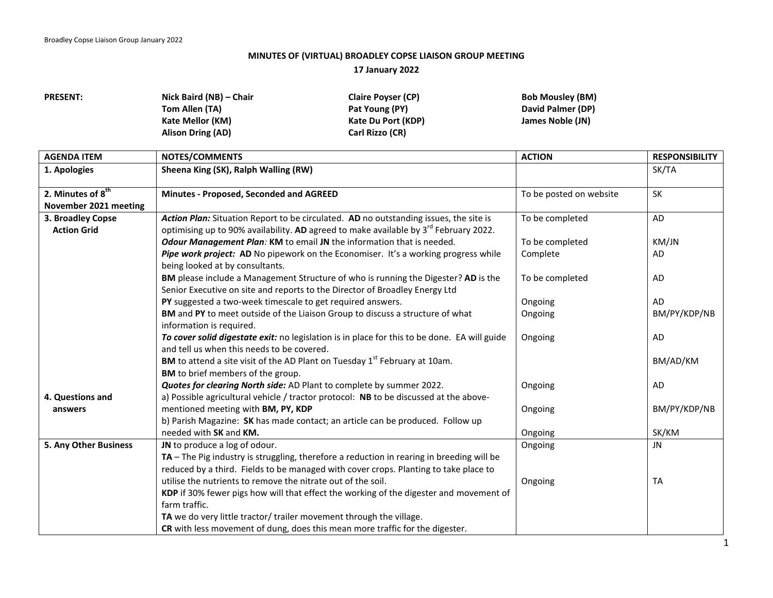## **MINUTES OF (VIRTUAL) BROADLEY COPSE LIAISON GROUP MEETING 17 January 2022**

**PRESENT: Nick Baird (NB) – Chair Tom Allen (TA) Kate Mellor (KM) Alison Dring (AD)**

**Claire Poyser (CP) Pat Young (PY) Kate Du Port (KDP) Carl Rizzo (CR)**

**Bob Mousley (BM) David Palmer (DP) James Noble (JN)**

| <b>AGENDA ITEM</b>    | NOTES/COMMENTS                                                                               | <b>ACTION</b>           | <b>RESPONSIBILITY</b> |
|-----------------------|----------------------------------------------------------------------------------------------|-------------------------|-----------------------|
| 1. Apologies          | Sheena King (SK), Ralph Walling (RW)                                                         |                         | SK/TA                 |
|                       |                                                                                              |                         |                       |
| 2. Minutes of $8th$   | Minutes - Proposed, Seconded and AGREED                                                      | To be posted on website | SK                    |
| November 2021 meeting |                                                                                              |                         |                       |
| 3. Broadley Copse     | Action Plan: Situation Report to be circulated. AD no outstanding issues, the site is        | To be completed         | AD                    |
| <b>Action Grid</b>    | optimising up to 90% availability. AD agreed to make available by $3^{rd}$ February 2022.    |                         |                       |
|                       | Odour Management Plan: KM to email JN the information that is needed.                        | To be completed         | KM/JN                 |
|                       | Pipe work project: AD No pipework on the Economiser. It's a working progress while           | Complete                | <b>AD</b>             |
|                       | being looked at by consultants.                                                              |                         |                       |
|                       | BM please include a Management Structure of who is running the Digester? AD is the           | To be completed         | AD                    |
|                       | Senior Executive on site and reports to the Director of Broadley Energy Ltd                  |                         |                       |
|                       | PY suggested a two-week timescale to get required answers.                                   | Ongoing                 | <b>AD</b>             |
|                       | BM and PY to meet outside of the Liaison Group to discuss a structure of what                | Ongoing                 | BM/PY/KDP/NB          |
|                       | information is required.                                                                     |                         |                       |
|                       | To cover solid digestate exit: no legislation is in place for this to be done. EA will guide | Ongoing                 | AD                    |
|                       | and tell us when this needs to be covered.                                                   |                         |                       |
|                       | BM to attend a site visit of the AD Plant on Tuesday 1st February at 10am.                   |                         | BM/AD/KM              |
|                       | BM to brief members of the group.                                                            |                         |                       |
|                       | Quotes for clearing North side: AD Plant to complete by summer 2022.                         | Ongoing                 | AD                    |
| 4. Questions and      | a) Possible agricultural vehicle / tractor protocol: NB to be discussed at the above-        |                         |                       |
| answers               | mentioned meeting with BM, PY, KDP                                                           | Ongoing                 | BM/PY/KDP/NB          |
|                       | b) Parish Magazine: SK has made contact; an article can be produced. Follow up               |                         |                       |
|                       | needed with SK and KM.                                                                       | Ongoing                 | SK/KM                 |
| 5. Any Other Business | JN to produce a log of odour.                                                                | Ongoing                 | JN                    |
|                       | TA - The Pig industry is struggling, therefore a reduction in rearing in breeding will be    |                         |                       |
|                       | reduced by a third. Fields to be managed with cover crops. Planting to take place to         |                         |                       |
|                       | utilise the nutrients to remove the nitrate out of the soil.                                 | Ongoing                 | <b>TA</b>             |
|                       | KDP if 30% fewer pigs how will that effect the working of the digester and movement of       |                         |                       |
|                       | farm traffic.                                                                                |                         |                       |
|                       | TA we do very little tractor/ trailer movement through the village.                          |                         |                       |
|                       | CR with less movement of dung, does this mean more traffic for the digester.                 |                         |                       |